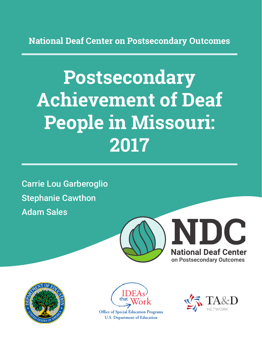**National Deaf Center on Postsecondary Outcomes**

# **Postsecondary Achievement of Deaf People in Missouri: 2017**

Carrie Lou Garberoglio Stephanie Cawthon Adam Sales







**Office of Special Education Programs U.S. Department of Education** 

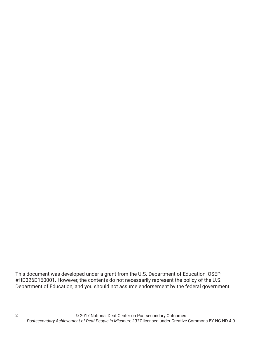This document was developed under a grant from the U.S. Department of Education, OSEP #HD326D160001. However, the contents do not necessarily represent the policy of the U.S. Department of Education, and you should not assume endorsement by the federal government.

2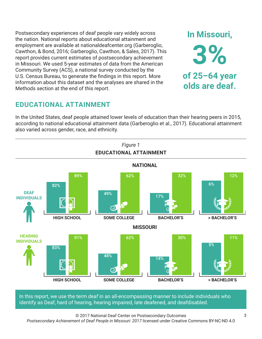Postsecondary experiences of deaf people vary widely across the nation. National reports about educational attainment and employment are available at nationaldeafcenter.org (Garberoglio, Cawthon, & Bond, 2016; Garberoglio, Cawthon, & Sales, 2017). This report provides current estimates of postsecondary achievement in Missouri. We used 5-year estimates of data from the American Community Survey (ACS), a national survey conducted by the U.S. Census Bureau, to generate the findings in this report. More information about this dataset and the analyses are shared in the Methods section at the end of this report.

# **EDUCATIONAL ATTAINMENT**

In the United States, deaf people attained lower levels of education than their hearing peers in 2015, according to national educational attainment data (Garberoglio et al., 2017). Educational attainment also varied across gender, race, and ethnicity.



In this report, we use the term *deaf* in an all-encompassing manner to include individuals who identify as Deaf, hard of hearing, hearing impaired, late deafened, and deafdisabled.

© 2017 National Deaf Center on Postsecondary Outcomes *Postsecondary Achievement of Deaf People in Missouri: 2017* licensed under Creative Commons BY-NC-ND 4.0

**In Missouri,**

**3%**

**of 25–64 year**

**olds are deaf.**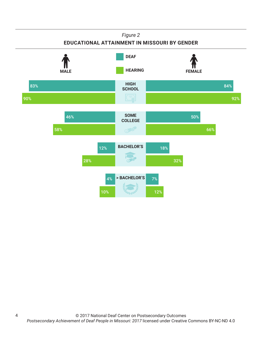#### *Figure 2* **EDUCATIONAL ATTAINMENT IN MISSOURI BY GENDER HIGH SCHOOL SOME COLLEGE BACHELOR'S > BACHELOR'S HEARING** FEMALE **DEAF** 83% 90% 84% 92% 46% 58% 50% 66% 12% 28% 18% 32% 4% 10% 7% 12%

4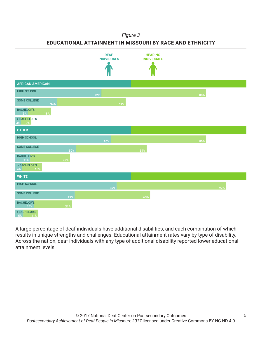#### *Figure 3*

**EDUCATIONAL ATTAINMENT IN MISSOURI BY RACE AND ETHNICITY**



A large percentage of deaf individuals have additional disabilities, and each combination of which results in unique strengths and challenges. Educational attainment rates vary by type of disability. Across the nation, deaf individuals with any type of additional disability reported lower educational attainment levels.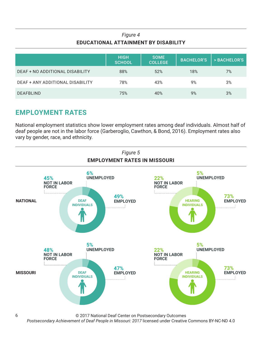### *Figure 4* **EDUCATIONAL ATTAINMENT BY DISABILITY**

|                                  | <b>HIGH</b><br><b>SCHOOL</b> | <b>SOME</b><br><b>COLLEGE</b> | <b>BACHELOR'S</b> | > BACHELOR'S |
|----------------------------------|------------------------------|-------------------------------|-------------------|--------------|
| DEAF + NO ADDITIONAL DISABILITY  | 88%                          | 52%                           | 18%               | 7%           |
| DEAF + ANY ADDITIONAL DISABILITY | 78%                          | 43%                           | 9%                | 3%           |
| <b>DEAFBLIND</b>                 | 75%                          | 40%                           | 9%                | 3%           |

## **EMPLOYMENT RATES**

6

National employment statistics show lower employment rates among deaf individuals. Almost half of deaf people are not in the labor force (Garberoglio, Cawthon, & Bond, 2016). Employment rates also vary by gender, race, and ethnicity.



© 2017 National Deaf Center on Postsecondary Outcomes

*Postsecondary Achievement of Deaf People in Missouri: 2017* licensed under Creative Commons BY-NC-ND 4.0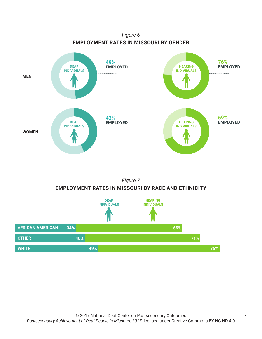



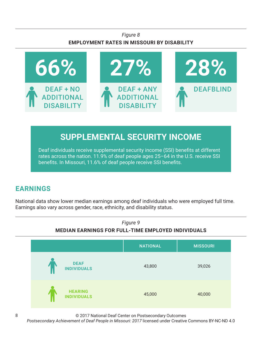### *Figure 8* **EMPLOYMENT RATES IN MISSOURI BY DISABILITY**



# **SUPPLEMENTAL SECURITY INCOME**

Deaf individuals receive supplemental security income (SSI) benefits at different rates across the nation. 11.9% of deaf people ages 25–64 in the U.S. receive SSI benefits. In Missouri, 11.6% of deaf people receive SSI benefits.

# **EARNINGS**

National data show lower median earnings among deaf individuals who were employed full time. Earnings also vary across gender, race, ethnicity, and disability status.



© 2017 National Deaf Center on Postsecondary Outcomes

*Postsecondary Achievement of Deaf People in Missouri: 2017* licensed under Creative Commons BY-NC-ND 4.0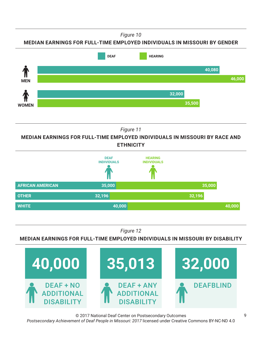*Figure 10*





*Figure 11*

**MEDIAN EARNINGS FOR FULL-TIME EMPLOYED INDIVIDUALS IN MISSOURI BY RACE AND ETHNICITY**



*Figure 12*

**MEDIAN EARNINGS FOR FULL-TIME EMPLOYED INDIVIDUALS IN MISSOURI BY DISABILITY**



© 2017 National Deaf Center on Postsecondary Outcomes *Postsecondary Achievement of Deaf People in Missouri: 2017* licensed under Creative Commons BY-NC-ND 4.0